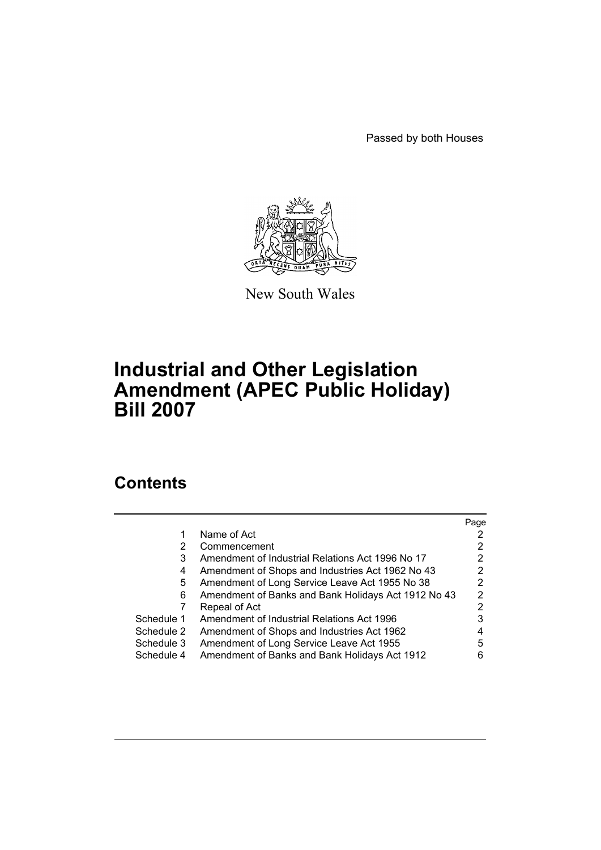Passed by both Houses



New South Wales

# **Industrial and Other Legislation Amendment (APEC Public Holiday) Bill 2007**

# **Contents**

|            |                                                     | Page |
|------------|-----------------------------------------------------|------|
|            | Name of Act                                         |      |
| 2          | Commencement                                        |      |
| 3          | Amendment of Industrial Relations Act 1996 No 17    | 2    |
| 4          | Amendment of Shops and Industries Act 1962 No 43    | 2    |
| 5.         | Amendment of Long Service Leave Act 1955 No 38      |      |
| 6          | Amendment of Banks and Bank Holidays Act 1912 No 43 | 2    |
|            | Repeal of Act                                       | 2    |
| Schedule 1 | Amendment of Industrial Relations Act 1996          |      |
| Schedule 2 | Amendment of Shops and Industries Act 1962          |      |
| Schedule 3 | Amendment of Long Service Leave Act 1955            | 5    |
| Schedule 4 | Amendment of Banks and Bank Holidays Act 1912       | 6    |
|            |                                                     |      |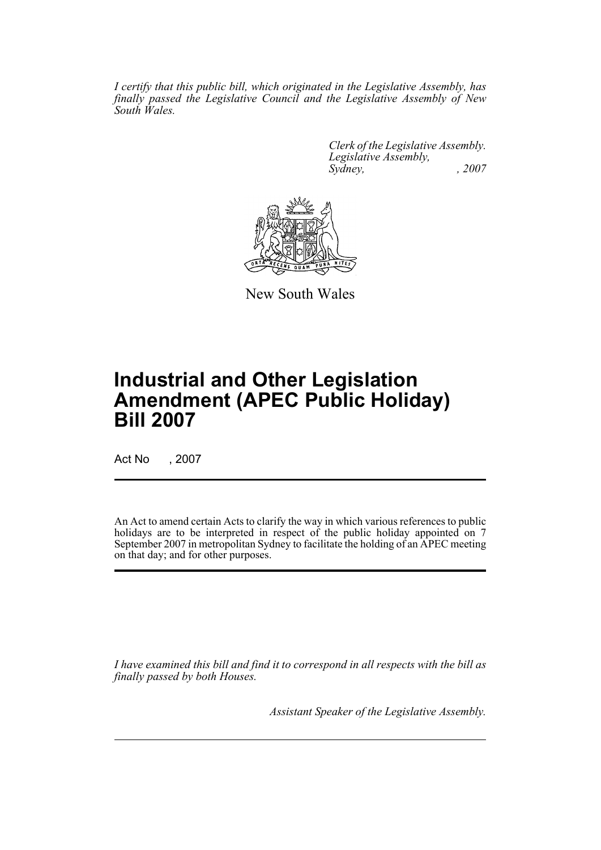*I certify that this public bill, which originated in the Legislative Assembly, has finally passed the Legislative Council and the Legislative Assembly of New South Wales.*

> *Clerk of the Legislative Assembly. Legislative Assembly, Sydney, , 2007*



New South Wales

# **Industrial and Other Legislation Amendment (APEC Public Holiday) Bill 2007**

Act No , 2007

An Act to amend certain Acts to clarify the way in which various references to public holidays are to be interpreted in respect of the public holiday appointed on 7 September 2007 in metropolitan Sydney to facilitate the holding of an APEC meeting on that day; and for other purposes.

*I have examined this bill and find it to correspond in all respects with the bill as finally passed by both Houses.*

*Assistant Speaker of the Legislative Assembly.*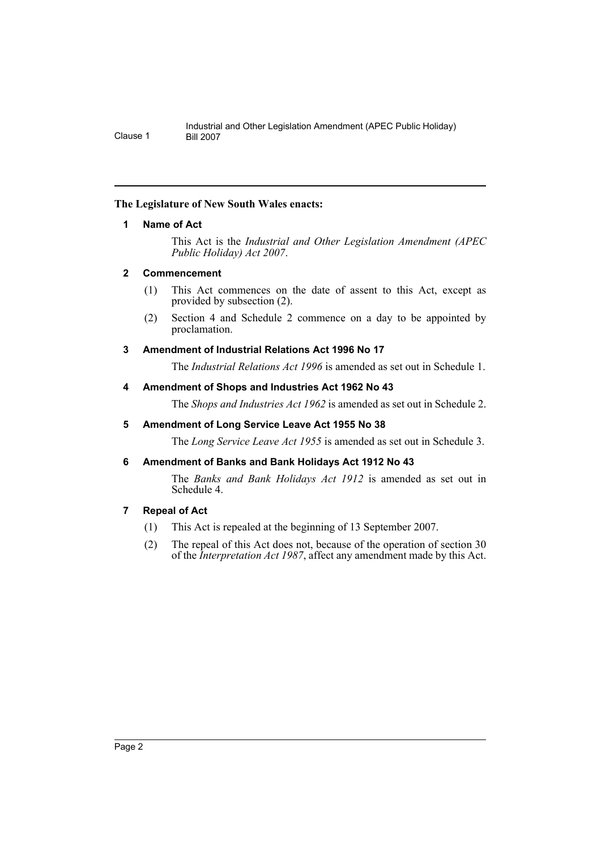# <span id="page-2-0"></span>**The Legislature of New South Wales enacts:**

## **1 Name of Act**

This Act is the *Industrial and Other Legislation Amendment (APEC Public Holiday) Act 2007*.

## <span id="page-2-1"></span>**2 Commencement**

- (1) This Act commences on the date of assent to this Act, except as provided by subsection (2).
- (2) Section 4 and Schedule 2 commence on a day to be appointed by proclamation.

# <span id="page-2-2"></span>**3 Amendment of Industrial Relations Act 1996 No 17**

The *Industrial Relations Act 1996* is amended as set out in Schedule 1.

# <span id="page-2-3"></span>**4 Amendment of Shops and Industries Act 1962 No 43**

The *Shops and Industries Act 1962* is amended as set out in Schedule 2.

# <span id="page-2-4"></span>**5 Amendment of Long Service Leave Act 1955 No 38**

The *Long Service Leave Act 1955* is amended as set out in Schedule 3.

## <span id="page-2-5"></span>**6 Amendment of Banks and Bank Holidays Act 1912 No 43**

The *Banks and Bank Holidays Act 1912* is amended as set out in Schedule 4.

## <span id="page-2-6"></span>**7 Repeal of Act**

- (1) This Act is repealed at the beginning of 13 September 2007.
- (2) The repeal of this Act does not, because of the operation of section 30 of the *Interpretation Act 1987*, affect any amendment made by this Act.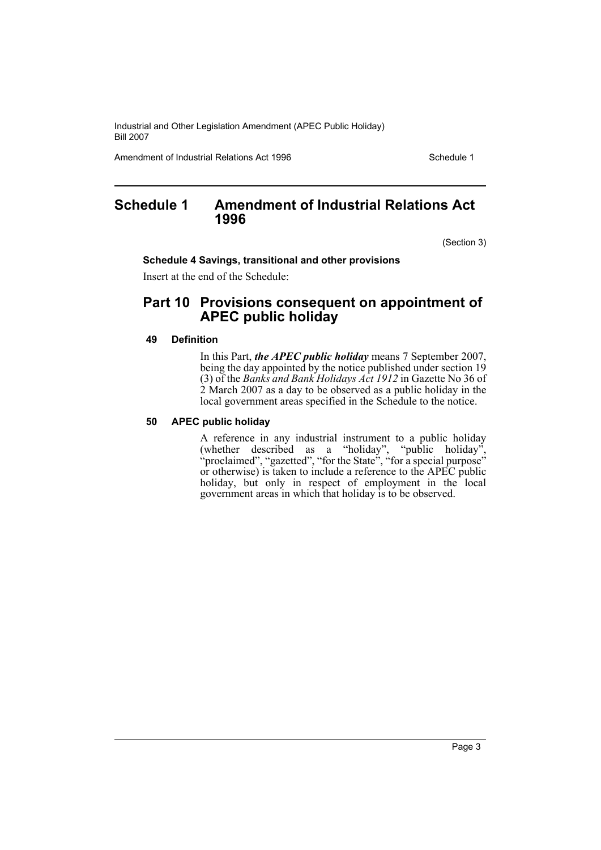Amendment of Industrial Relations Act 1996 New York Schedule 1

# <span id="page-3-0"></span>**Schedule 1 Amendment of Industrial Relations Act 1996**

(Section 3)

#### **Schedule 4 Savings, transitional and other provisions**

Insert at the end of the Schedule:

# **Part 10 Provisions consequent on appointment of APEC public holiday**

#### **49 Definition**

In this Part, *the APEC public holiday* means 7 September 2007, being the day appointed by the notice published under section 19 (3) of the *Banks and Bank Holidays Act 1912* in Gazette No 36 of 2 March 2007 as a day to be observed as a public holiday in the local government areas specified in the Schedule to the notice.

## **50 APEC public holiday**

A reference in any industrial instrument to a public holiday (whether described as a "holiday", "public holiday", "proclaimed", "gazetted", "for the State", "for a special purpose" or otherwise) is taken to include a reference to the APEC public holiday, but only in respect of employment in the local government areas in which that holiday is to be observed.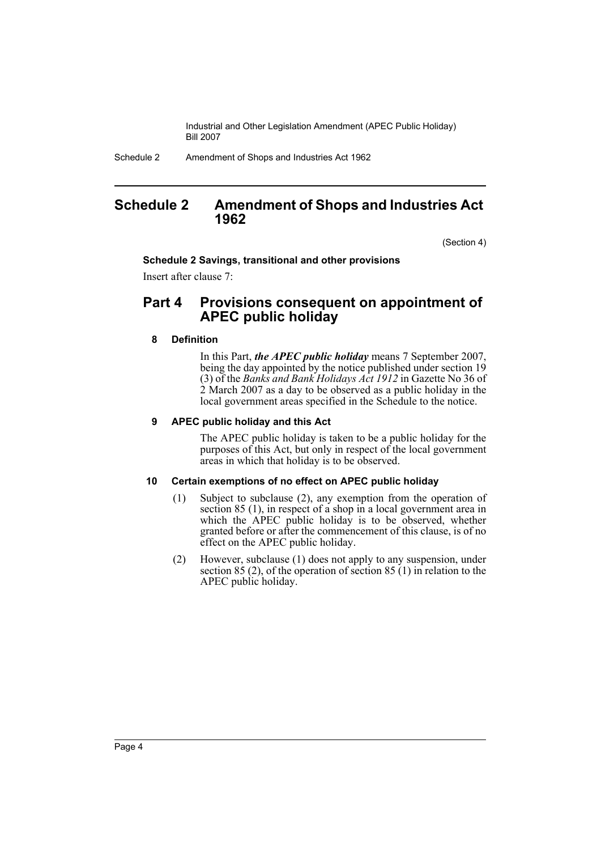Schedule 2 Amendment of Shops and Industries Act 1962

# <span id="page-4-0"></span>**Schedule 2 Amendment of Shops and Industries Act 1962**

(Section 4)

#### **Schedule 2 Savings, transitional and other provisions**

Insert after clause 7:

# **Part 4 Provisions consequent on appointment of APEC public holiday**

#### **8 Definition**

In this Part, *the APEC public holiday* means 7 September 2007, being the day appointed by the notice published under section 19 (3) of the *Banks and Bank Holidays Act 1912* in Gazette No 36 of 2 March 2007 as a day to be observed as a public holiday in the local government areas specified in the Schedule to the notice.

#### **9 APEC public holiday and this Act**

The APEC public holiday is taken to be a public holiday for the purposes of this Act, but only in respect of the local government areas in which that holiday is to be observed.

#### **10 Certain exemptions of no effect on APEC public holiday**

- (1) Subject to subclause (2), any exemption from the operation of section 85 (1), in respect of a shop in a local government area in which the APEC public holiday is to be observed, whether granted before or after the commencement of this clause, is of no effect on the APEC public holiday.
- (2) However, subclause (1) does not apply to any suspension, under section  $85(2)$ , of the operation of section  $85(1)$  in relation to the APEC public holiday.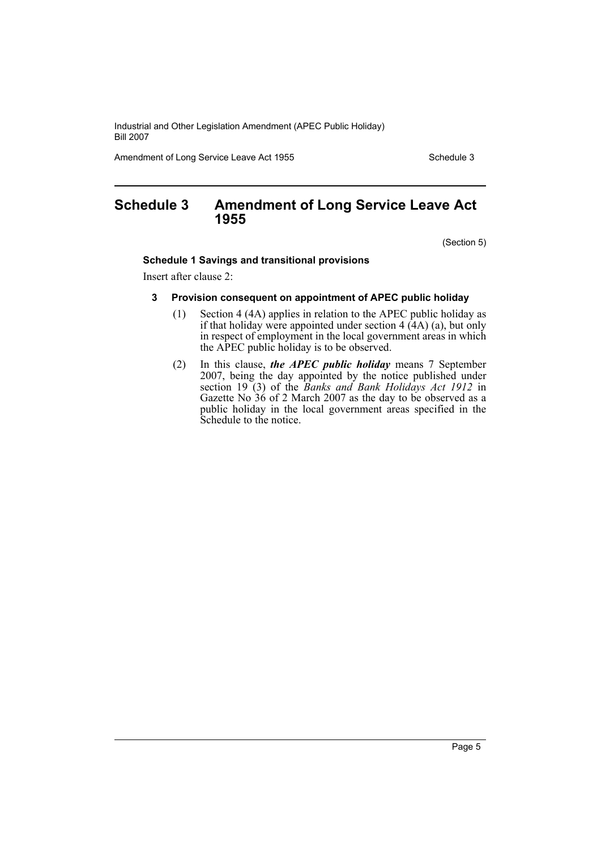Amendment of Long Service Leave Act 1955 Schedule 3

# <span id="page-5-0"></span>**Schedule 3 Amendment of Long Service Leave Act 1955**

(Section 5)

#### **Schedule 1 Savings and transitional provisions**

Insert after clause 2:

#### **3 Provision consequent on appointment of APEC public holiday**

- (1) Section 4 (4A) applies in relation to the APEC public holiday as if that holiday were appointed under section  $4(4A)(a)$ , but only in respect of employment in the local government areas in which the APEC public holiday is to be observed.
- (2) In this clause, *the APEC public holiday* means 7 September 2007, being the day appointed by the notice published under section 19 (3) of the *Banks and Bank Holidays Act 1912* in Gazette No 36 of 2 March 2007 as the day to be observed as a public holiday in the local government areas specified in the Schedule to the notice.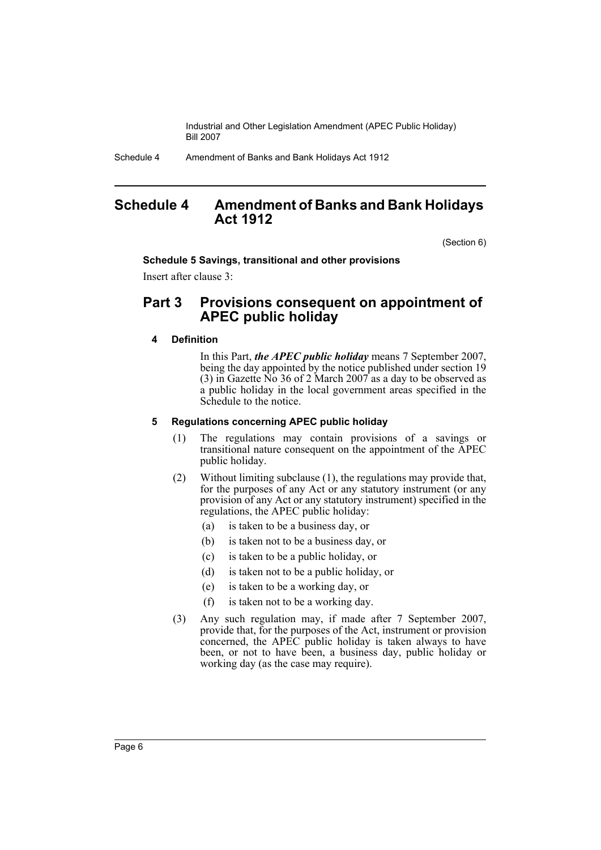Schedule 4 Amendment of Banks and Bank Holidays Act 1912

# <span id="page-6-0"></span>**Schedule 4 Amendment of Banks and Bank Holidays Act 1912**

(Section 6)

#### **Schedule 5 Savings, transitional and other provisions**

Insert after clause 3:

# **Part 3 Provisions consequent on appointment of APEC public holiday**

## **4 Definition**

In this Part, *the APEC public holiday* means 7 September 2007, being the day appointed by the notice published under section 19 (3) in Gazette  $\tilde{N}$  36 of 2 March 2007 as a day to be observed as a public holiday in the local government areas specified in the Schedule to the notice.

## **5 Regulations concerning APEC public holiday**

- (1) The regulations may contain provisions of a savings or transitional nature consequent on the appointment of the APEC public holiday.
- (2) Without limiting subclause (1), the regulations may provide that, for the purposes of any Act or any statutory instrument (or any provision of any Act or any statutory instrument) specified in the regulations, the APEC public holiday:
	- (a) is taken to be a business day, or
	- (b) is taken not to be a business day, or
	- (c) is taken to be a public holiday, or
	- (d) is taken not to be a public holiday, or
	- (e) is taken to be a working day, or
	- (f) is taken not to be a working day.
- (3) Any such regulation may, if made after 7 September 2007, provide that, for the purposes of the Act, instrument or provision concerned, the APEC public holiday is taken always to have been, or not to have been, a business day, public holiday or working day (as the case may require).